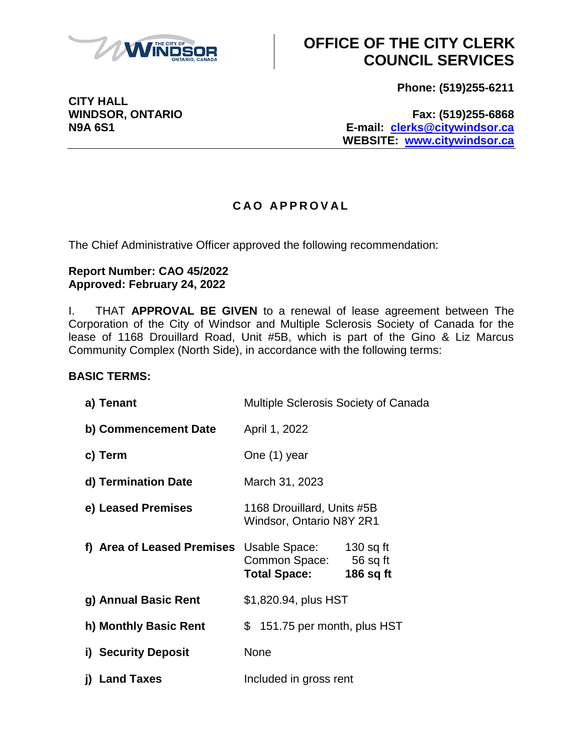

**Phone: (519)255-6211**

**WINDSOR, ONTARIO Fax: (519)255-6868 N9A 6S1 E-mail: [clerks@citywindsor.ca](mailto:clerks@citywindsor.ca) WEBSITE: [www.citywindsor.ca](http://www.citywindsor.ca/)**

### **C A O A P P R O V A L**

The Chief Administrative Officer approved the following recommendation:

#### **Report Number: CAO 45/2022 Approved: February 24, 2022**

I. THAT **APPROVAL BE GIVEN** to a renewal of lease agreement between The Corporation of the City of Windsor and Multiple Sclerosis Society of Canada for the lease of 1168 Drouillard Road, Unit #5B, which is part of the Gino & Liz Marcus Community Complex (North Side), in accordance with the following terms:

### **BASIC TERMS:**

| a) Tenant                  | <b>Multiple Sclerosis Society of Canada</b>                   |                                        |
|----------------------------|---------------------------------------------------------------|----------------------------------------|
| b) Commencement Date       | April 1, 2022                                                 |                                        |
| c) Term                    | One (1) year                                                  |                                        |
| d) Termination Date        | March 31, 2023                                                |                                        |
| e) Leased Premises         | 1168 Drouillard, Units #5B<br><b>Windsor, Ontario N8Y 2R1</b> |                                        |
| f) Area of Leased Premises | Usable Space:<br>Common Space:<br><b>Total Space:</b>         | $130$ sq ft<br>$56$ sq ft<br>186 sq ft |
| g) Annual Basic Rent       | \$1,820.94, plus HST                                          |                                        |
| h) Monthly Basic Rent      | \$151.75 per month, plus HST                                  |                                        |
| i) Security Deposit        | None                                                          |                                        |
| j) Land Taxes              | Included in gross rent                                        |                                        |

**CITY HALL**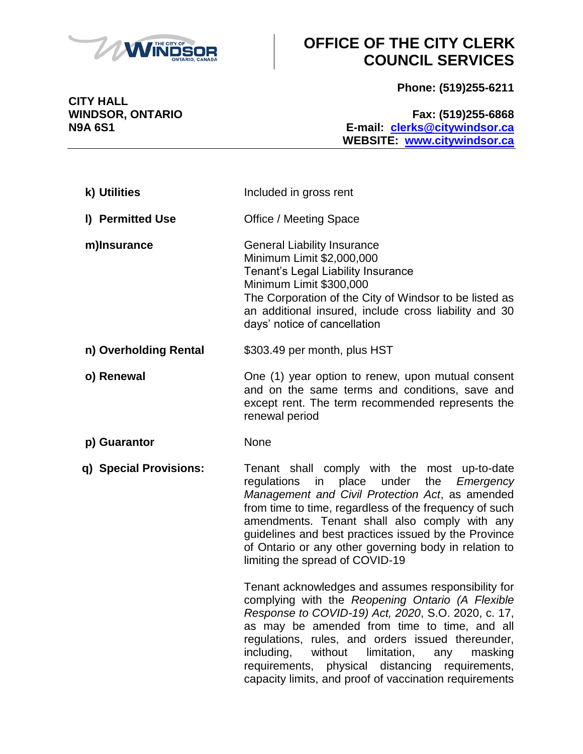

**Phone: (519)255-6211**

**CITY HALL**

#### **WINDSOR, ONTARIO Fax: (519)255-6868 N9A 6S1 E-mail: [clerks@citywindsor.ca](mailto:clerks@citywindsor.ca) WEBSITE: [www.citywindsor.ca](http://www.citywindsor.ca/)**

| k) Utilities           | Included in gross rent                                                                                                                                                                                                                                                                                                                                                                                                             |
|------------------------|------------------------------------------------------------------------------------------------------------------------------------------------------------------------------------------------------------------------------------------------------------------------------------------------------------------------------------------------------------------------------------------------------------------------------------|
| I) Permitted Use       | Office / Meeting Space                                                                                                                                                                                                                                                                                                                                                                                                             |
| m)Insurance            | <b>General Liability Insurance</b><br>Minimum Limit \$2,000,000<br>Tenant's Legal Liability Insurance<br>Minimum Limit \$300,000<br>The Corporation of the City of Windsor to be listed as<br>an additional insured, include cross liability and 30<br>days' notice of cancellation                                                                                                                                                |
| n) Overholding Rental  | \$303.49 per month, plus HST                                                                                                                                                                                                                                                                                                                                                                                                       |
| o) Renewal             | One (1) year option to renew, upon mutual consent<br>and on the same terms and conditions, save and<br>except rent. The term recommended represents the<br>renewal period                                                                                                                                                                                                                                                          |
| p) Guarantor           | None                                                                                                                                                                                                                                                                                                                                                                                                                               |
| q) Special Provisions: | Tenant shall comply with the most up-to-date<br>regulations in place under<br>the <i>Emergency</i><br>Management and Civil Protection Act, as amended<br>from time to time, regardless of the frequency of such<br>amendments. Tenant shall also comply with any<br>guidelines and best practices issued by the Province<br>of Ontario or any other governing body in relation to<br>limiting the spread of COVID-19               |
|                        | Tenant acknowledges and assumes responsibility for<br>complying with the Reopening Ontario (A Flexible<br>Response to COVID-19) Act, 2020, S.O. 2020, c. 17,<br>as may be amended from time to time, and all<br>regulations, rules, and orders issued thereunder,<br>including,<br>without limitation, any<br>masking<br>requirements, physical distancing requirements,<br>capacity limits, and proof of vaccination requirements |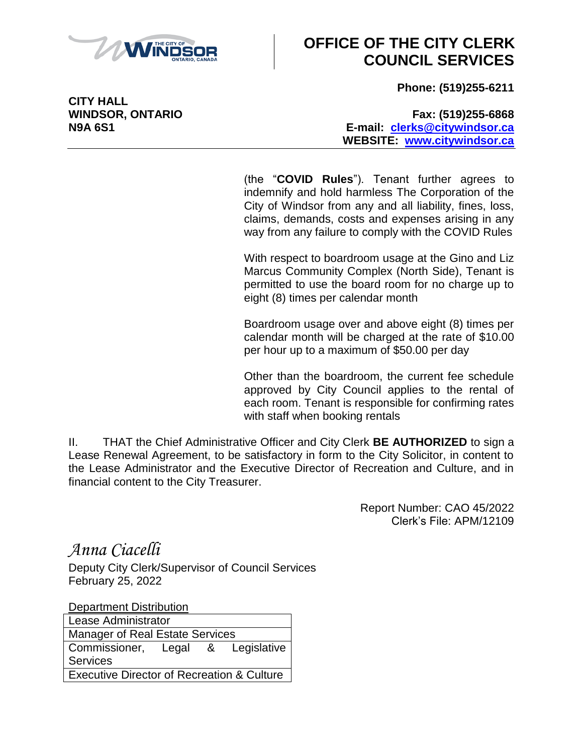

**Phone: (519)255-6211**

**CITY HALL**

#### **WINDSOR, ONTARIO Fax: (519)255-6868 N9A 6S1 E-mail: [clerks@citywindsor.ca](mailto:clerks@citywindsor.ca) WEBSITE: [www.citywindsor.ca](http://www.citywindsor.ca/)**

(the "**COVID Rules**"). Tenant further agrees to indemnify and hold harmless The Corporation of the City of Windsor from any and all liability, fines, loss, claims, demands, costs and expenses arising in any way from any failure to comply with the COVID Rules

With respect to boardroom usage at the Gino and Liz Marcus Community Complex (North Side), Tenant is permitted to use the board room for no charge up to eight (8) times per calendar month

Boardroom usage over and above eight (8) times per calendar month will be charged at the rate of \$10.00 per hour up to a maximum of \$50.00 per day

Other than the boardroom, the current fee schedule approved by City Council applies to the rental of each room. Tenant is responsible for confirming rates with staff when booking rentals

II. THAT the Chief Administrative Officer and City Clerk **BE AUTHORIZED** to sign a Lease Renewal Agreement, to be satisfactory in form to the City Solicitor, in content to the Lease Administrator and the Executive Director of Recreation and Culture, and in financial content to the City Treasurer.

> Report Number: CAO 45/2022 Clerk's File: APM/12109

*Anna Ciacelli*

Deputy City Clerk/Supervisor of Council Services February 25, 2022

Department Distribution

Lease Administrator Manager of Real Estate Services Commissioner, Legal & Legislative **Services** Executive Director of Recreation & Culture